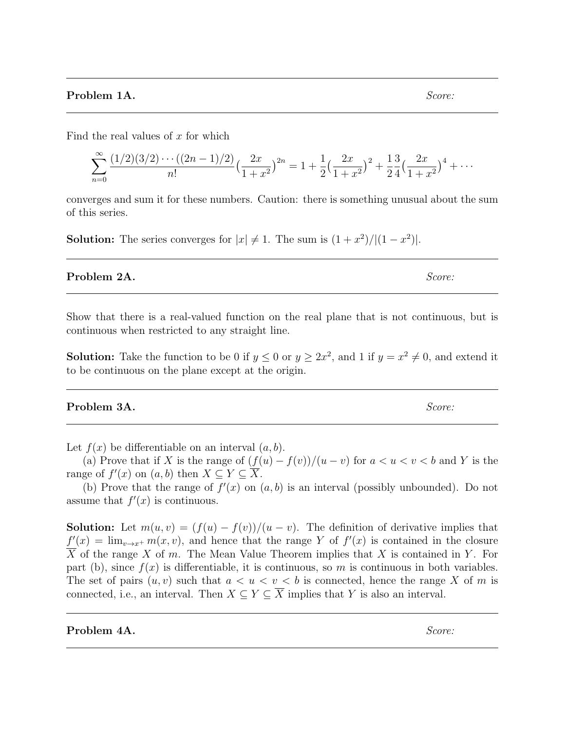Find the real values of  $x$  for which

$$
\sum_{n=0}^{\infty} \frac{(1/2)(3/2)\cdots((2n-1)/2)}{n!} \left(\frac{2x}{1+x^2}\right)^{2n} = 1 + \frac{1}{2}\left(\frac{2x}{1+x^2}\right)^2 + \frac{1}{2}\frac{3}{4}\left(\frac{2x}{1+x^2}\right)^4 + \cdots
$$

converges and sum it for these numbers. Caution: there is something unusual about the sum of this series.

**Solution:** The series converges for  $|x| \neq 1$ . The sum is  $(1+x^2)/|(1-x^2)|$ .

**Problem 2A.** Score:

Show that there is a real-valued function on the real plane that is not continuous, but is continuous when restricted to any straight line.

**Solution:** Take the function to be 0 if  $y \le 0$  or  $y \ge 2x^2$ , and 1 if  $y = x^2 \ne 0$ , and extend it to be continuous on the plane except at the origin.

**Problem 3A.** Score:

Let  $f(x)$  be differentiable on an interval  $(a, b)$ .

(a) Prove that if X is the range of  $(f(u) - f(v))/(u - v)$  for  $a < u < v < b$  and Y is the range of  $f'(x)$  on  $(a, b)$  then  $X \subseteq Y \subseteq \overline{X}$ .

(b) Prove that the range of  $f'(x)$  on  $(a, b)$  is an interval (possibly unbounded). Do not assume that  $f'(x)$  is continuous.

**Solution:** Let  $m(u, v) = (f(u) - f(v))/(u - v)$ . The definition of derivative implies that  $f'(x) = \lim_{v \to x^+} m(x, v)$ , and hence that the range Y of  $f'(x)$  is contained in the closure  $\overline{X}$  of the range X of m. The Mean Value Theorem implies that X is contained in Y. For part (b), since  $f(x)$  is differentiable, it is continuous, so m is continuous in both variables. The set of pairs  $(u, v)$  such that  $a < u < v < b$  is connected, hence the range X of m is connected, i.e., an interval. Then  $X \subseteq Y \subseteq \overline{X}$  implies that Y is also an interval.

**Problem 4A.** Score: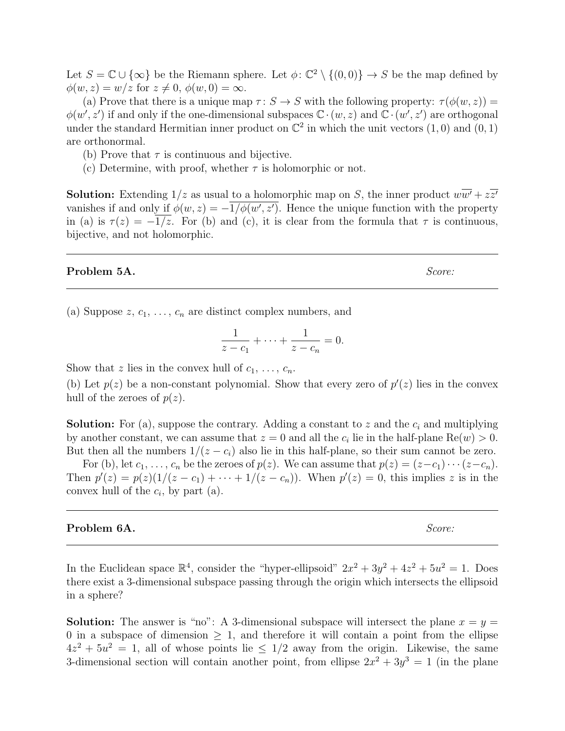Let  $S = \mathbb{C} \cup \{\infty\}$  be the Riemann sphere. Let  $\phi: \mathbb{C}^2 \setminus \{(0,0)\} \to S$  be the map defined by  $\phi(w, z) = w/z$  for  $z \neq 0, \phi(w, 0) = \infty$ .

(a) Prove that there is a unique map  $\tau: S \to S$  with the following property:  $\tau(\phi(w, z)) =$  $\phi(w', z')$  if and only if the one-dimensional subspaces  $\mathbb{C} \cdot (w, z)$  and  $\mathbb{C} \cdot (w', z')$  are orthogonal under the standard Hermitian inner product on  $\mathbb{C}^2$  in which the unit vectors  $(1,0)$  and  $(0,1)$ are orthonormal.

(b) Prove that  $\tau$  is continuous and bijective.

(c) Determine, with proof, whether  $\tau$  is holomorphic or not.

**Solution:** Extending  $1/z$  as usual to a holomorphic map on S, the inner product  $w\overline{w'} + z\overline{z'}$ vanishes if and only if  $\phi(w, z) = -1/\phi(w', z')$ . Hence the unique function with the property in (a) is  $\tau(z) = -1/z$ . For (b) and (c), it is clear from the formula that  $\tau$  is continuous, bijective, and not holomorphic.

#### **Problem 5A.** Score:

(a) Suppose  $z, c_1, \ldots, c_n$  are distinct complex numbers, and

$$
\frac{1}{z - c_1} + \dots + \frac{1}{z - c_n} = 0.
$$

Show that z lies in the convex hull of  $c_1, \ldots, c_n$ .

(b) Let  $p(z)$  be a non-constant polynomial. Show that every zero of  $p'(z)$  lies in the convex hull of the zeroes of  $p(z)$ .

**Solution:** For (a), suppose the contrary. Adding a constant to z and the  $c_i$  and multiplying by another constant, we can assume that  $z = 0$  and all the  $c_i$  lie in the half-plane  $\text{Re}(w) > 0$ . But then all the numbers  $1/(z - c_i)$  also lie in this half-plane, so their sum cannot be zero.

For (b), let  $c_1, \ldots, c_n$  be the zeroes of  $p(z)$ . We can assume that  $p(z) = (z-c_1)\cdots(z-c_n)$ . Then  $p'(z) = p(z)(1/(z - c_1) + \cdots + 1/(z - c_n))$ . When  $p'(z) = 0$ , this implies z is in the convex hull of the  $c_i$ , by part (a).

### **Problem 6A.** Score:

In the Euclidean space  $\mathbb{R}^4$ , consider the "hyper-ellipsoid"  $2x^2 + 3y^2 + 4z^2 + 5u^2 = 1$ . Does there exist a 3-dimensional subspace passing through the origin which intersects the ellipsoid in a sphere?

**Solution:** The answer is "no": A 3-dimensional subspace will intersect the plane  $x = y =$ 0 in a subspace of dimension  $> 1$ , and therefore it will contain a point from the ellipse  $4z^2 + 5u^2 = 1$ , all of whose points lie  $\leq 1/2$  away from the origin. Likewise, the same 3-dimensional section will contain another point, from ellipse  $2x^2 + 3y^3 = 1$  (in the plane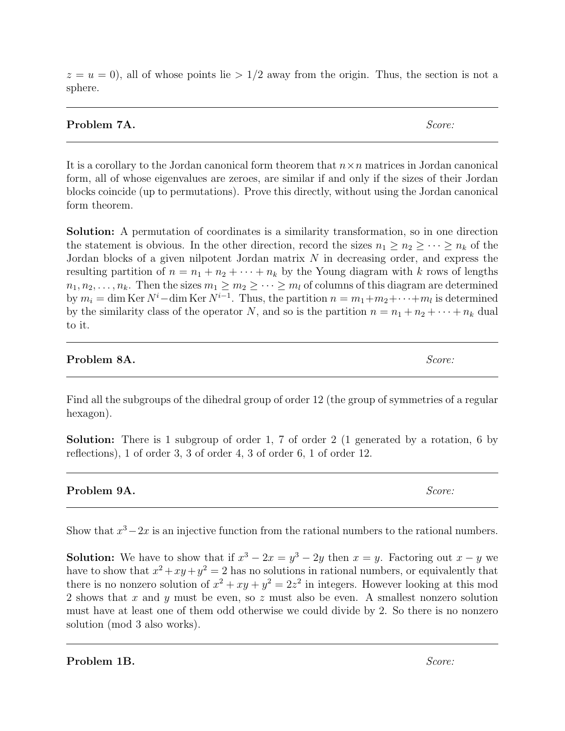|         |  |  | $z = u = 0$ , all of whose points lie > 1/2 away from the origin. Thus, the section is not a |  |
|---------|--|--|----------------------------------------------------------------------------------------------|--|
| sphere. |  |  |                                                                                              |  |

## Problem 7A. Score:

It is a corollary to the Jordan canonical form theorem that  $n \times n$  matrices in Jordan canonical form, all of whose eigenvalues are zeroes, are similar if and only if the sizes of their Jordan blocks coincide (up to permutations). Prove this directly, without using the Jordan canonical form theorem.

Solution: A permutation of coordinates is a similarity transformation, so in one direction the statement is obvious. In the other direction, record the sizes  $n_1 \geq n_2 \geq \cdots \geq n_k$  of the Jordan blocks of a given nilpotent Jordan matrix N in decreasing order, and express the resulting partition of  $n = n_1 + n_2 + \cdots + n_k$  by the Young diagram with k rows of lengths  $n_1, n_2, \ldots, n_k$ . Then the sizes  $m_1 \geq m_2 \geq \cdots \geq m_l$  of columns of this diagram are determined by  $m_i = \dim \text{Ker } N^i - \dim \text{Ker } N^{i-1}$ . Thus, the partition  $n = m_1 + m_2 + \cdots + m_l$  is determined by the similarity class of the operator N, and so is the partition  $n = n_1 + n_2 + \cdots + n_k$  dual to it.

# **Problem 8A.** Score:

Find all the subgroups of the dihedral group of order 12 (the group of symmetries of a regular hexagon).

Solution: There is 1 subgroup of order 1, 7 of order 2 (1 generated by a rotation, 6 by reflections), 1 of order 3, 3 of order 4, 3 of order 6, 1 of order 12.

**Problem 9A.** Score:

Show that  $x^3 - 2x$  is an injective function from the rational numbers to the rational numbers.

**Solution:** We have to show that if  $x^3 - 2x = y^3 - 2y$  then  $x = y$ . Factoring out  $x - y$  we have to show that  $x^2 + xy + y^2 = 2$  has no solutions in rational numbers, or equivalently that there is no nonzero solution of  $x^2 + xy + y^2 = 2z^2$  in integers. However looking at this mod 2 shows that x and y must be even, so z must also be even. A smallest nonzero solution must have at least one of them odd otherwise we could divide by 2. So there is no nonzero solution (mod 3 also works).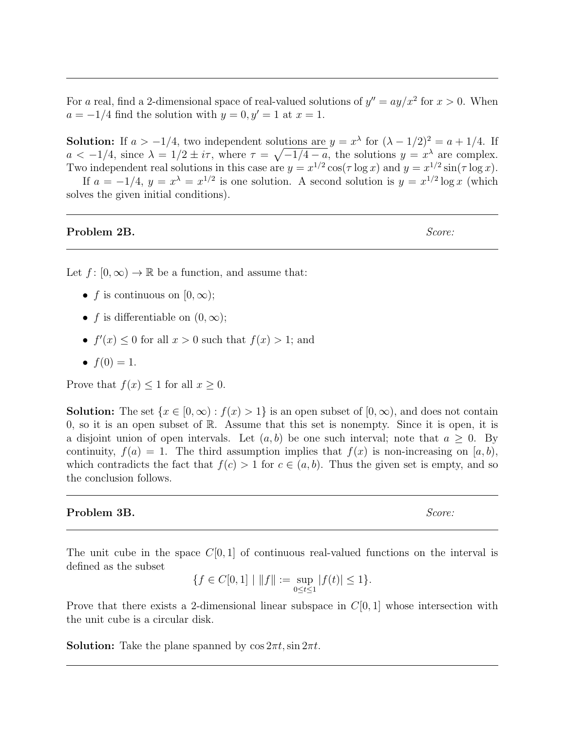For a real, find a 2-dimensional space of real-valued solutions of  $y'' = ay/x^2$  for  $x > 0$ . When  $a = -1/4$  find the solution with  $y = 0, y' = 1$  at  $x = 1$ .

**Solution:** If  $a > -1/4$ , two independent solutions are  $y = x^{\lambda}$  for  $(\lambda - 1/2)^2 = a + 1/4$ . If  $a < -1/4$ , since  $\lambda = 1/2 \pm i\tau$ , where  $\tau = \sqrt{-1/4 - a}$ , the solutions  $y = x^{\lambda}$  are complex. Two independent real solutions in this case are  $y = x^{1/2} \cos(\tau \log x)$  and  $y = x^{1/2} \sin(\tau \log x)$ .

If  $a = -1/4$ ,  $y = x^{\lambda} = x^{1/2}$  is one solution. A second solution is  $y = x^{1/2} \log x$  (which solves the given initial conditions).

#### **Problem 2B.** Score:

Let  $f: [0, \infty) \to \mathbb{R}$  be a function, and assume that:

- f is continuous on  $[0, \infty)$ ;
- f is differentiable on  $(0, \infty)$ ;
- $f'(x) \leq 0$  for all  $x > 0$  such that  $f(x) > 1$ ; and
- $f(0) = 1$ .

Prove that  $f(x) \leq 1$  for all  $x \geq 0$ .

**Solution:** The set  $\{x \in [0, \infty) : f(x) > 1\}$  is an open subset of  $[0, \infty)$ , and does not contain 0, so it is an open subset of R. Assume that this set is nonempty. Since it is open, it is a disjoint union of open intervals. Let  $(a, b)$  be one such interval; note that  $a \geq 0$ . By continuity,  $f(a) = 1$ . The third assumption implies that  $f(x)$  is non-increasing on [a, b), which contradicts the fact that  $f(c) > 1$  for  $c \in (a, b)$ . Thus the given set is empty, and so the conclusion follows.

### Problem 3B. Score:

The unit cube in the space  $C[0, 1]$  of continuous real-valued functions on the interval is defined as the subset

$$
\{f \in C[0,1] \mid ||f|| := \sup_{0 \le t \le 1} |f(t)| \le 1\}.
$$

Prove that there exists a 2-dimensional linear subspace in  $C[0, 1]$  whose intersection with the unit cube is a circular disk.

**Solution:** Take the plane spanned by  $\cos 2\pi t$ ,  $\sin 2\pi t$ .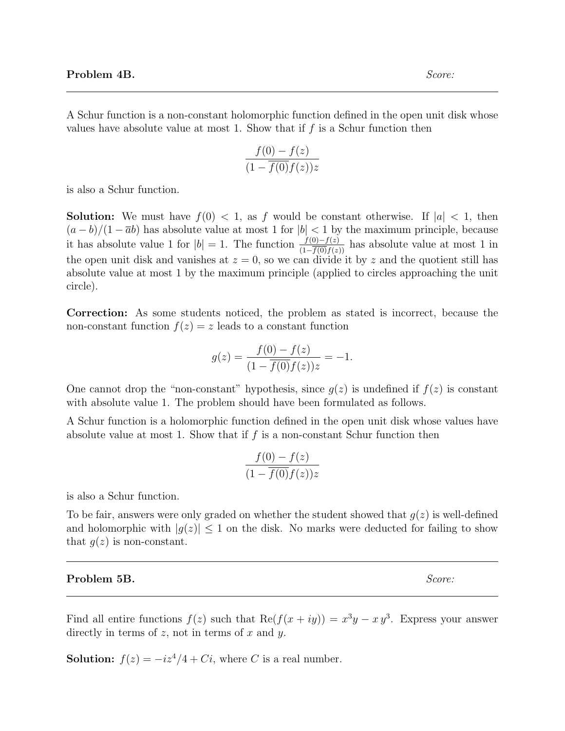A Schur function is a non-constant holomorphic function defined in the open unit disk whose values have absolute value at most 1. Show that if  $f$  is a Schur function then

$$
\frac{f(0) - f(z)}{(1 - \overline{f(0)}f(z))z}
$$

is also a Schur function.

**Solution:** We must have  $f(0) < 1$ , as f would be constant otherwise. If  $|a| < 1$ , then  $(a - b)/(1 - \overline{a}b)$  has absolute value at most 1 for  $|b| < 1$  by the maximum principle, because it has absolute value 1 for  $|b| = 1$ . The function  $\frac{f(0)-f(z)}{(1-\overline{f(0)}f(z))}$  has absolute value at most 1 in the open unit disk and vanishes at  $z = 0$ , so we can divide it by z and the quotient still has absolute value at most 1 by the maximum principle (applied to circles approaching the unit circle).

Correction: As some students noticed, the problem as stated is incorrect, because the non-constant function  $f(z) = z$  leads to a constant function

$$
g(z) = \frac{f(0) - f(z)}{(1 - \overline{f(0)}f(z))z} = -1.
$$

One cannot drop the "non-constant" hypothesis, since  $g(z)$  is undefined if  $f(z)$  is constant with absolute value 1. The problem should have been formulated as follows.

A Schur function is a holomorphic function defined in the open unit disk whose values have absolute value at most 1. Show that if  $f$  is a non-constant Schur function then

$$
\frac{f(0) - f(z)}{(1 - \overline{f(0)}f(z))z}
$$

is also a Schur function.

To be fair, answers were only graded on whether the student showed that  $g(z)$  is well-defined and holomorphic with  $|q(z)| \leq 1$  on the disk. No marks were deducted for failing to show that  $g(z)$  is non-constant.

#### **Problem 5B.** Score:

Find all entire functions  $f(z)$  such that  $\text{Re}(f(x+iy)) = x^3y - xy^3$ . Express your answer directly in terms of  $z$ , not in terms of  $x$  and  $y$ .

**Solution:**  $f(z) = -iz^4/4 + Ci$ , where C is a real number.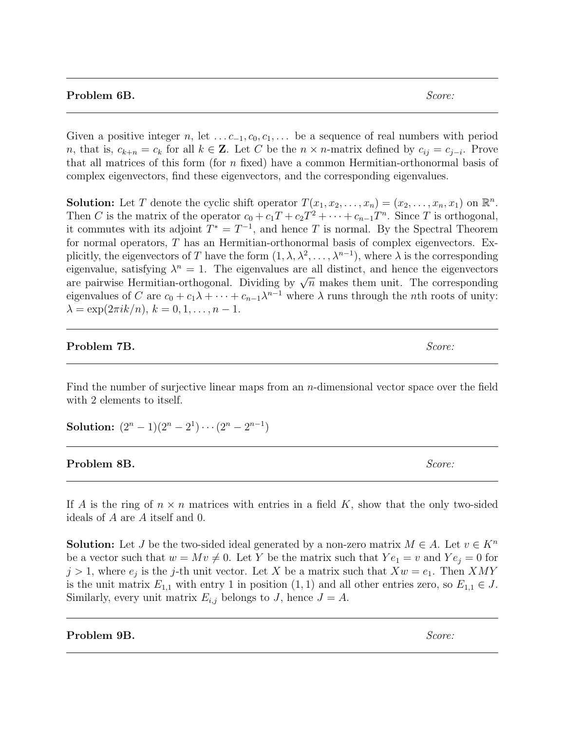### **Problem 6B.** Score:

Given a positive integer n, let  $\dots c_{-1}, c_0, c_1, \dots$  be a sequence of real numbers with period n, that is,  $c_{k+n} = c_k$  for all  $k \in \mathbb{Z}$ . Let C be the  $n \times n$ -matrix defined by  $c_{ij} = c_{j-i}$ . Prove that all matrices of this form (for  $n$  fixed) have a common Hermitian-orthonormal basis of complex eigenvectors, find these eigenvectors, and the corresponding eigenvalues.

**Solution:** Let T denote the cyclic shift operator  $T(x_1, x_2, \ldots, x_n) = (x_2, \ldots, x_n, x_1)$  on  $\mathbb{R}^n$ . Then C is the matrix of the operator  $c_0 + c_1T + c_2T^2 + \cdots + c_{n-1}T^n$ . Since T is orthogonal, it commutes with its adjoint  $T^* = T^{-1}$ , and hence T is normal. By the Spectral Theorem for normal operators, T has an Hermitian-orthonormal basis of complex eigenvectors. Explicitly, the eigenvectors of T have the form  $(1, \lambda, \lambda^2, \ldots, \lambda^{n-1})$ , where  $\lambda$  is the corresponding eigenvalue, satisfying  $\lambda^n = 1$ . The eigenvalues are all distinct, and hence the eigenvectors eigenvalue, satisfying  $\lambda = 1$ . The eigenvalues are all distinct, and hence the eigenvectors are pairwise Hermitian-orthogonal. Dividing by  $\sqrt{n}$  makes them unit. The corresponding eigenvalues of C are  $c_0 + c_1\lambda + \cdots + c_{n-1}\lambda^{n-1}$  where  $\lambda$  runs through the *n*th roots of unity:  $\lambda = \exp(2\pi i k/n), k = 0, 1, \ldots, n - 1.$ 

### **Problem 7B.** Score:

Find the number of surjective linear maps from an  $n$ -dimensional vector space over the field with 2 elements to itself.

Solution:  $(2^n - 1)(2^n - 2^1) \cdots (2^n - 2^{n-1})$ 

### **Problem 8B.** Score:

If A is the ring of  $n \times n$  matrices with entries in a field K, show that the only two-sided ideals of A are A itself and 0.

**Solution:** Let J be the two-sided ideal generated by a non-zero matrix  $M \in A$ . Let  $v \in K^n$ be a vector such that  $w = Mv \neq 0$ . Let Y be the matrix such that  $Ye_1 = v$  and  $Ye_i = 0$  for  $j > 1$ , where  $e_j$  is the j-th unit vector. Let X be a matrix such that  $Xw = e_1$ . Then XMY is the unit matrix  $E_{1,1}$  with entry 1 in position  $(1, 1)$  and all other entries zero, so  $E_{1,1} \in J$ . Similarly, every unit matrix  $E_{i,j}$  belongs to J, hence  $J = A$ .

### **Problem 9B.** Score: